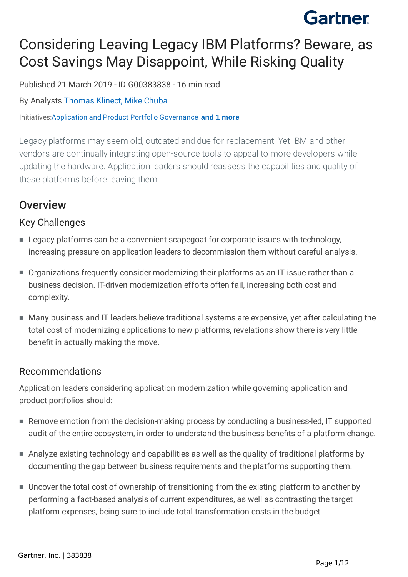## Considering Leaving Legacy IBM Platforms? Beware, as Cost Savings May Disappoint, While Risking Quality

Published 21 March 2019 - ID G00383838 - 16 min read

### By Analysts [Thomas](https://external.gcom.pdo.aws.gartner.com/analyst/76132) Klinect, Mike [Chuba](https://external.gcom.pdo.aws.gartner.com/analyst/202)

Initiatives:Application and Product Portfolio [Governance](https://external.gcom.pdo.aws.gartner.com/explore/initiatives/overview/10519) **and 1 more**

Legacy platforms may seem old, outdated and due for replacement. Yet IBM and other vendors are continually integrating open-source tools to appeal to more developers while updating the hardware. Application leaders should reassess the capabilities and quality of these platforms before leaving them.

### **Overview**

### Key Challenges

- Legacy platforms can be a convenient scapegoat for corporate issues with technology, increasing pressure on application leaders to decommission them without careful analysis.
- Organizations frequently consider modernizing their platforms as an IT issue rather than a business decision. IT-driven modernization efforts often fail, increasing both cost and complexity.
- Many business and IT leaders believe traditional systems are expensive, yet after calculating the total cost of modernizing applications to new platforms, revelations show there is very little benefit in actually making the move.

### Recommendations

Application leaders considering application modernization while governing application and product portfolios should:

- Remove emotion from the decision-making process by conducting a business-led, IT supported audit of the entire ecosystem, in order to understand the business benefits of a platform change.
- Analyze existing technology and capabilities as well as the quality of traditional platforms by documenting the gap between business requirements and the platforms supporting them.
- Uncover the total cost of ownership of transitioning from the existing platform to another by performing a fact-based analysis of current expenditures, as well as contrasting the target platform expenses, being sure to include total transformation costs in the budget.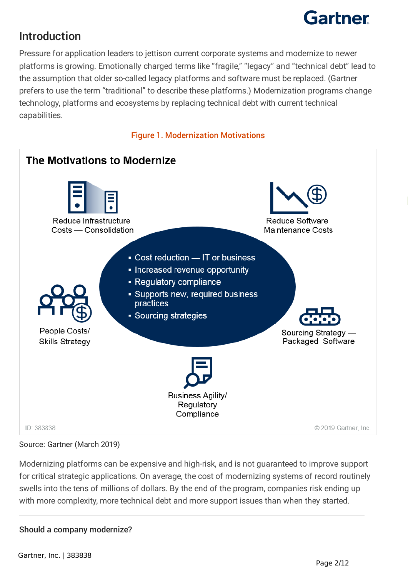

## Introduction

Pressure for application leaders to jettison current corporate systems and modernize to newer platforms is growing. Emotionally charged terms like "fragile," "legacy" and "technical debt" lead to the assumption that older so-called legacy platforms and software must be replaced. (Gartner prefers to use the term "traditional" to describe these platforms.) Modernization programs change technology, platforms and ecosystems by replacing technical debt with current technical capabilities.

#### Figure 1. Modernization Motivations



#### Source: Gartner (March 2019)

Modernizing platforms can be expensive and high-risk, and is not guaranteed to improve support for critical strategic applications. On average, the cost of modernizing systems of record routinely swells into the tens of millions of dollars. By the end of the program, companies risk ending up with more complexity, more technical debt and more support issues than when they started.

#### Should a company modernize?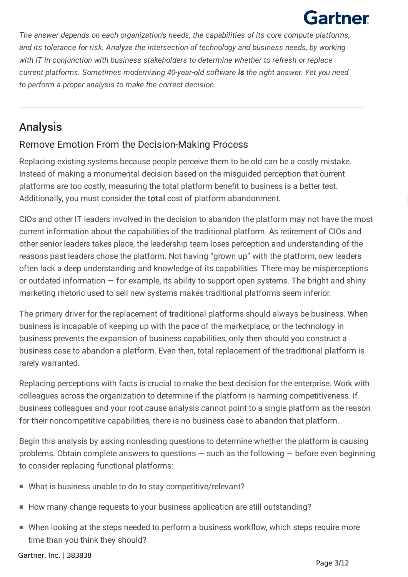*The answer depends on each organization's needs, the capabilities of its core compute platforms, and its tolerance for risk. Analyze the intersection of technology and business needs, by working with IT in conjunction with business stakeholders to determine whether to refresh or replace current platforms. Sometimes modernizing 40-year-old software is the right answer. Yet you need to perform a proper analysis to make the correct decision.*

### Analysis

### Remove Emotion From the Decision-Making Process

Additionally, you must consider the **total** cost of platform abandonment. Replacing existing systems because people perceive them to be old can be a costly mistake. Instead of making a monumental decision based on the misguided perception that current platforms are too costly, measuring the total platform benefit to business is a better test.

CIOs and other IT leaders involved in the decision to abandon the platform may not have the most current information about the capabilities of the traditional platform. As retirement of CIOs and other senior leaders takes place, the leadership team loses perception and understanding of the reasons past leaders chose the platform. Not having "grown up" with the platform, new leaders often lack a deep understanding and knowledge of its capabilities. There may be misperceptions or outdated information  $-$  for example, its ability to support open systems. The bright and shiny marketing rhetoric used to sell new systems makes traditional platforms seem inferior.

The primary driver for the replacement of traditional platforms should always be business. When business is incapable of keeping up with the pace of the marketplace, or the technology in business prevents the expansion of business capabilities, only then should you construct a business case to abandon a platform. Even then, total replacement of the traditional platform is rarely warranted.

Replacing perceptions with facts is crucial to make the best decision for the enterprise. Work with colleagues across the organization to determine if the platform is harming competitiveness. If business colleagues and your root cause analysis cannot point to a single platform as the reason for their noncompetitive capabilities, there is no business case to abandon that platform.

Begin this analysis by asking nonleading questions to determine whether the platform is causing problems. Obtain complete answers to questions  $-$  such as the following  $-$  before even beginning to consider replacing functional platforms:

- What is business unable to do to stay competitive/relevant?
- How many change requests to your business application are still outstanding?
- When looking at the steps needed to perform a business workflow, which steps require more time than you think they should?

Gartner, Inc. | 383838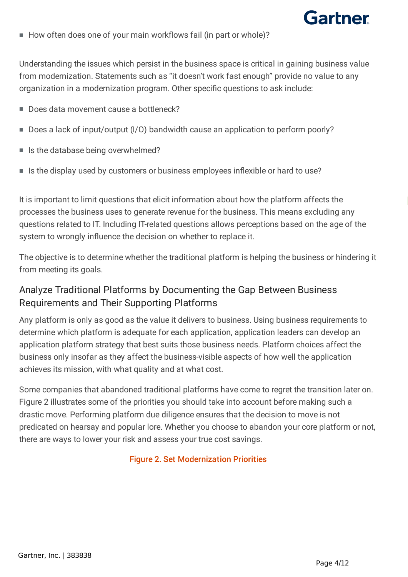

■ How often does one of your main workflows fail (in part or whole)?

Understanding the issues which persist in the business space is critical in gaining business value from modernization. Statements such as "it doesn't work fast enough" provide no value to any organization in a modernization program. Other specific questions to ask include:

- Does data movement cause a bottleneck?
- Does a lack of input/output (I/O) bandwidth cause an application to perform poorly?
- Is the database being overwhelmed?
- Is the display used by customers or business employees inflexible or hard to use?

It is important to limit questions that elicit information about how the platform affects the processes the business uses to generate revenue for the business. This means excluding any questions related to IT. Including IT-related questions allows perceptions based on the age of the system to wrongly influence the decision on whether to replace it.

The objective is to determine whether the traditional platform is helping the business or hindering it from meeting its goals.

### Analyze Traditional Platforms by Documenting the Gap Between Business Requirements and Their Supporting Platforms

Any platform is only as good as the value it delivers to business. Using business requirements to determine which platform is adequate for each application, application leaders can develop an application platform strategy that best suits those business needs. Platform choices affect the business only insofar as they affect the business-visible aspects of how well the application achieves its mission, with what quality and at what cost.

Some companies that abandoned traditional platforms have come to regret the transition later on. Figure 2 illustrates some of the priorities you should take into account before making such a drastic move. Performing platform due diligence ensures that the decision to move is not predicated on hearsay and popular lore. Whether you choose to abandon your core platform or not, there are ways to lower your risk and assess your true cost savings.

#### Figure 2. Set Modernization Priorities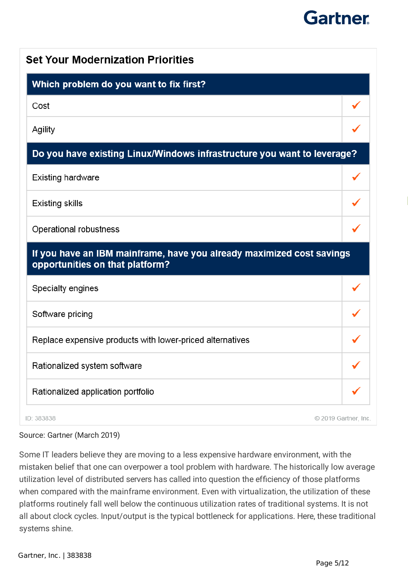| Which problem do you want to fix first?                                                                  |  |
|----------------------------------------------------------------------------------------------------------|--|
| Cost                                                                                                     |  |
| Agility                                                                                                  |  |
| Do you have existing Linux/Windows infrastructure you want to leverage?                                  |  |
| <b>Existing hardware</b>                                                                                 |  |
| Existing skills                                                                                          |  |
| Operational robustness                                                                                   |  |
| If you have an IBM mainframe, have you already maximized cost savings<br>opportunities on that platform? |  |
| Specialty engines                                                                                        |  |
| Software pricing                                                                                         |  |
| Replace expensive products with lower-priced alternatives                                                |  |
|                                                                                                          |  |
| Rationalized system software                                                                             |  |

Source: Gartner (March 2019)

Some IT leaders believe they are moving to a less expensive hardware environment, with the mistaken belief that one can overpower a tool problem with hardware. The historically low average utilization level of distributed servers has called into question the efficiency of those platforms when compared with the mainframe environment. Even with virtualization, the utilization of these platforms routinely fall well below the continuous utilization rates of traditional systems. It is not all about clock cycles. Input/output is the typical bottleneck for applications. Here, these traditional systems shine.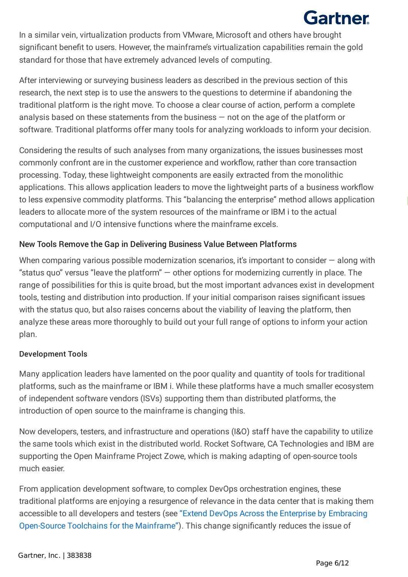In a similar vein, virtualization products from VMware, Microsoft and others have brought significant benefit to users. However, the mainframe's virtualization capabilities remain the gold standard for those that have extremely advanced levels of computing.

After interviewing or surveying business leaders as described in the previous section of this research, the next step is to use the answers to the questions to determine if abandoning the traditional platform is the right move. To choose a clear course of action, perform a complete analysis based on these statements from the business — not on the age of the platform or software. Traditional platforms offer many tools for analyzing workloads to inform your decision.

to less expensive commodity platforms. This "balancing the enterprise" method allows application Considering the results of such analyses from many organizations, the issues businesses most commonly confront are in the customer experience and workflow, rather than core transaction processing. Today, these lightweight components are easily extracted from the monolithic applications. This allows application leaders to move the lightweight parts of a business workflow leaders to allocate more of the system resources of the mainframe or IBM i to the actual computational and I/O intensive functions where the mainframe excels.

### New Tools Remove the Gap in Delivering Business Value Between Platforms

When comparing various possible modernization scenarios, it's important to consider – along with "status quo" versus "leave the platform"  $-$  other options for modernizing currently in place. The range of possibilities for this is quite broad, but the most important advances exist in development tools, testing and distribution into production. If your initial comparison raises significant issues with the status quo, but also raises concerns about the viability of leaving the platform, then analyze these areas more thoroughly to build out your full range of options to inform your action plan.

#### Development Tools

Many application leaders have lamented on the poor quality and quantity of tools for traditional platforms, such as the mainframe or IBM i. While these platforms have a much smaller ecosystem of independent software vendors (ISVs) supporting them than distributed platforms, the introduction of open source to the mainframe is changing this.

Now developers, testers, and infrastructure and operations (I&O) staff have the capability to utilize the same tools which exist in the distributed world. Rocket Software, CA Technologies and IBM are supporting the Open Mainframe Project Zowe, which is making adapting of open-source tools much easier.

From application development software, to complex DevOps orchestration engines, these traditional platforms are enjoying a resurgence of relevance in the data center that is making them accessible to all developers and testers (see "Extend DevOps Across the Enterprise by Embracing Open-Source Toolchains for the Mainframe"). This change significantly reduces the issue of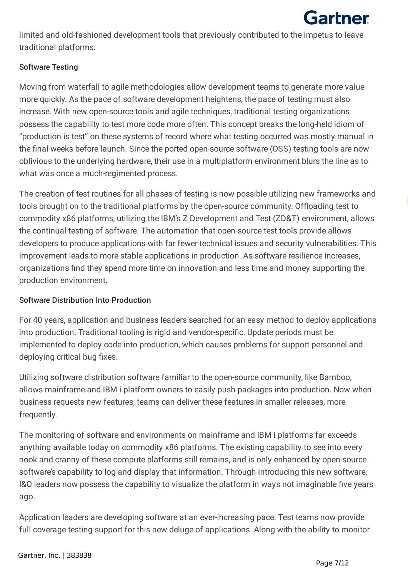

limited and old-fashioned development tools that previously contributed to the impetus to leave traditional platforms.

#### Software Testing

Moving from waterfall to agile methodologies allow development teams to generate more value more quickly. As the pace of software development heightens, the pace of testing must also increase. With new open-source tools and agile techniques, traditional testing organizations possess the capability to test more code more often. This concept breaks the long-held idiom of "production is test" on these systems of record where what testing occurred was mostly manual in the final weeks before launch. Since the ported open-source software (OSS) testing tools are now oblivious to the underlying hardware, their use in a multiplatform environment blurs the line as to what was once a much-regimented process.

tools brought on to the traditional platforms by the open-source community. Offloading test to The creation of test routines for all phases of testing is now possible utilizing new frameworks and commodity x86 platforms, utilizing the IBM's Z Development and Test (ZD&T) environment, allows the continual testing of software. The automation that open-source test tools provide allows developers to produce applications with far fewer technical issues and security vulnerabilities. This improvement leads to more stable applications in production. As software resilience increases, organizations find they spend more time on innovation and less time and money supporting the production environment.

#### Software Distribution Into Production

For 40 years, application and business leaders searched for an easy method to deploy applications into production. Traditional tooling is rigid and vendor-specific. Update periods must be implemented to deploy code into production, which causes problems for support personnel and deploying critical bug fixes.

Utilizing software distribution software familiar to the open-source community, like Bamboo, allows mainframe and IBM i platform owners to easily push packages into production. Now when business requests new features, teams can deliver these features in smaller releases, more frequently.

The monitoring of software and environments on mainframe and IBM i platforms far exceeds anything available today on commodity x86 platforms. The existing capability to see into every nook and cranny of these compute platforms still remains, and is only enhanced by open-source software's capability to log and display that information. Through introducing this new software, I&O leaders now possess the capability to visualize the platform in ways not imaginable five years ago.

Application leaders are developing software at an ever-increasing pace. Test teams now provide full coverage testing support for this new deluge of applications. Along with the ability to monitor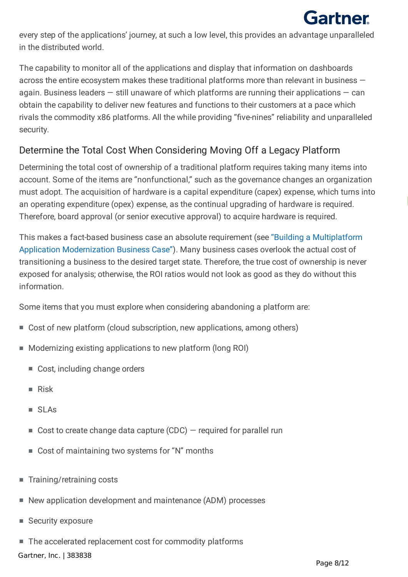every step of the applications' journey, at such a low level, this provides an advantage unparalleled in the distributed world.

The capability to monitor all of the applications and display that information on dashboards across the entire ecosystem makes these traditional platforms more than relevant in business again. Business leaders  $-$  still unaware of which platforms are running their applications  $-$  can obtain the capability to deliver new features and functions to their customers at a pace which rivals the commodity x86 platforms. All the while providing "five-nines" reliability and unparalleled security.

### Determine the Total Cost When Considering Moving Off a Legacy Platform

an operating expenditure (opex) expense, as the continual upgrading of hardware is required. Determining the total cost of ownership of a traditional platform requires taking many items into account. Some of the items are "nonfunctional," such as the governance changes an organization must adopt. The acquisition of hardware is a capital expenditure (capex) expense, which turns into Therefore, board approval (or senior executive approval) to acquire hardware is required.

This makes a fact-based business case an absolute requirement (see "Building a Multiplatform Application Modernization Business Case"). Many business cases overlook the actual cost of transitioning a business to the desired target state. Therefore, the true cost of ownership is never exposed for analysis; otherwise, the ROI ratios would not look as good as they do without this information.

Some items that you must explore when considering abandoning a platform are:

- Cost of new platform (cloud subscription, new applications, among others)
- Modernizing existing applications to new platform (long ROI)
	- Cost, including change orders
	- Risk
	- SLAs
	- $\blacksquare$  Cost to create change data capture (CDC)  $-$  required for parallel run
	- Cost of maintaining two systems for "N" months
- Training/retraining costs
- New application development and maintenance (ADM) processes
- Security exposure
- The accelerated replacement cost for commodity platforms

Gartner, Inc. | 383838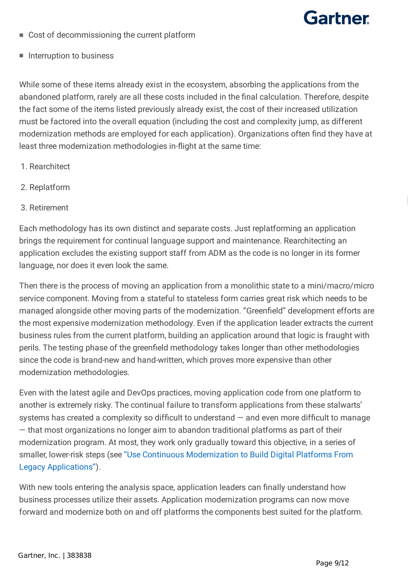

- Cost of decommissioning the current platform
- Interruption to business

While some of these items already exist in the ecosystem, absorbing the applications from the abandoned platform, rarely are all these costs included in the final calculation. Therefore, despite the fact some of the items listed previously already exist, the cost of their increased utilization must be factored into the overall equation (including the cost and complexity jump, as different modernization methods are employed for each application). Organizations often find they have at least three modernization methodologies in-flight at the same time:

- 1. Rearchitect
- 2. Replatform
- 3. Retirement

Each methodology has its own distinct and separate costs. Just replatforming an application brings the requirement for continual language support and maintenance. Rearchitecting an application excludes the existing support staff from ADM as the code is no longer in its former language, nor does it even look the same.

Then there is the process of moving an application from a monolithic state to a mini/macro/micro service component. Moving from a stateful to stateless form carries great risk which needs to be managed alongside other moving parts of the modernization. "Greenfield" development efforts are the most expensive modernization methodology. Even if the application leader extracts the current business rules from the current platform, building an application around that logic is fraught with perils. The testing phase of the greenfield methodology takes longer than other methodologies since the code is brand-new and hand-written, which proves more expensive than other modernization methodologies.

Even with the latest agile and DevOps practices, moving application code from one platform to another is extremely risky. The continual failure to transform applications from these stalwarts' systems has created a complexity so difficult to understand — and even more difficult to manage — that most organizations no longer aim to abandon traditional platforms as part of their modernization program. At most, they work only gradually toward this objective, in a series of smaller, lower-risk steps (see "Use Continuous Modernization to Build Digital Platforms From Legacy Applications").

With new tools entering the analysis space, application leaders can finally understand how business processes utilize their assets. Application modernization programs can now move forward and modernize both on and off platforms the components best suited for the platform.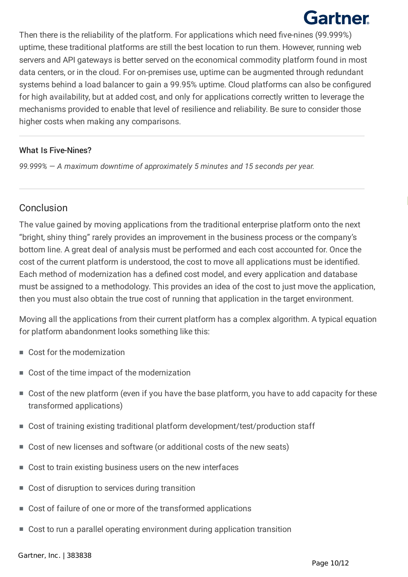Then there is the reliability of the platform. For applications which need five-nines (99.999%) uptime, these traditional platforms are still the best location to run them. However, running web servers and API gateways is better served on the economical commodity platform found in most data centers, or in the cloud. For on-premises use, uptime can be augmented through redundant systems behind a load balancer to gain a 99.95% uptime. Cloud platforms can also be configured for high availability, but at added cost, and only for applications correctly written to leverage the mechanisms provided to enable that level of resilience and reliability. Be sure to consider those higher costs when making any comparisons.

### What Is Five-Nines?

*99.999% — A maximum downtime of approximately 5 minutes and 15 seconds per year.*

### Conclusion

The value gained by moving applications from the traditional enterprise platform onto the next "bright, shiny thing" rarely provides an improvement in the business process or the company's bottom line. A great deal of analysis must be performed and each cost accounted for. Once the cost of the current platform is understood, the cost to move all applications must be identified. Each method of modernization has a defined cost model, and every application and database must be assigned to a methodology. This provides an idea of the cost to just move the application, then you must also obtain the true cost of running that application in the target environment.

Moving all the applications from their current platform has a complex algorithm. A typical equation for platform abandonment looks something like this:

- Cost for the modernization
- Cost of the time impact of the modernization
- Cost of the new platform (even if you have the base platform, you have to add capacity for these transformed applications)
- Cost of training existing traditional platform development/test/production staff
- Cost of new licenses and software (or additional costs of the new seats)
- Cost to train existing business users on the new interfaces
- Cost of disruption to services during transition
- Cost of failure of one or more of the transformed applications
- Cost to run a parallel operating environment during application transition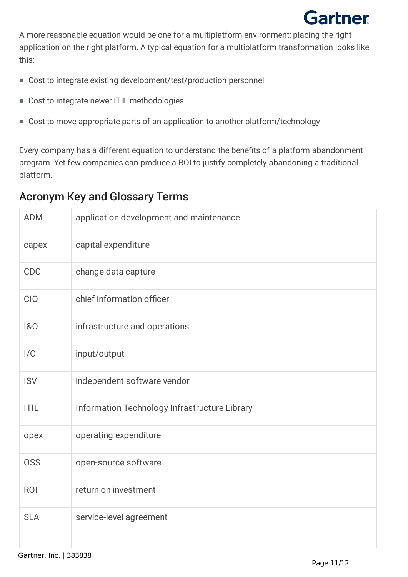A more reasonable equation would be one for a multiplatform environment; placing the right application on the right platform. A typical equation for a multiplatform transformation looks like this:

- Cost to integrate existing development/test/production personnel
- Cost to integrate newer ITIL methodologies
- Cost to move appropriate parts of an application to another platform/technology

Every company has a different equation to understand the benefits of a platform abandonment program. Yet few companies can produce a ROI to justify completely abandoning a traditional platform.

| <b>ADM</b>  | application development and maintenance       |
|-------------|-----------------------------------------------|
| capex       | capital expenditure                           |
| <b>CDC</b>  | change data capture                           |
| <b>CIO</b>  | chief information officer                     |
| 1&0         | infrastructure and operations                 |
| 1/0         | input/output                                  |
| <b>ISV</b>  | independent software vendor                   |
| <b>ITIL</b> | Information Technology Infrastructure Library |
| opex        | operating expenditure                         |
| <b>OSS</b>  | open-source software                          |
| <b>ROI</b>  | return on investment                          |
| <b>SLA</b>  | service-level agreement                       |
|             |                                               |

#### **This research note is restricted to the personal use of tknicky@us.ibm.com.** Acronym Key and Glossary Terms